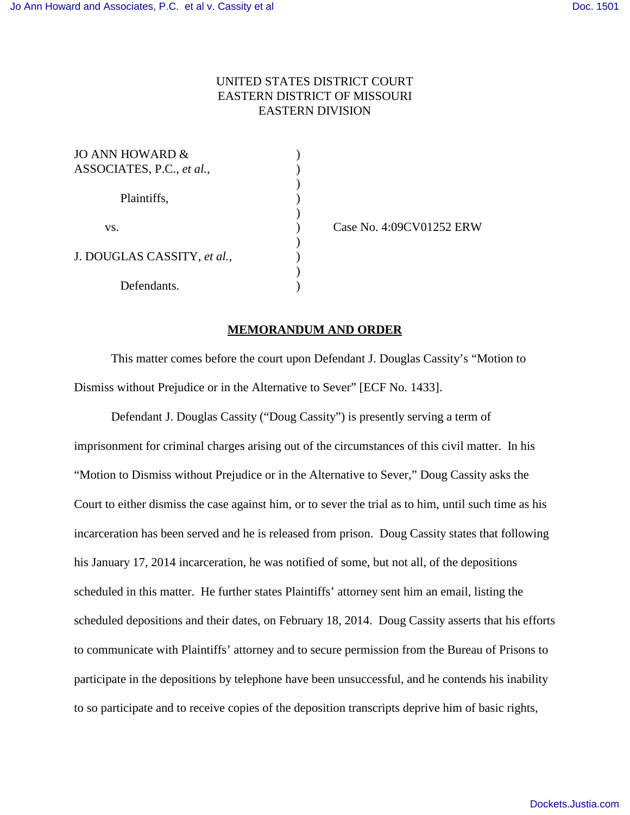## UNITED STATES DISTRICT COURT EASTERN DISTRICT OF MISSOURI EASTERN DIVISION

| JO ANN HOWARD $\&$          |  |
|-----------------------------|--|
| ASSOCIATES, P.C., et al.,   |  |
|                             |  |
| Plaintiffs,                 |  |
|                             |  |
| VS.                         |  |
|                             |  |
| J. DOUGLAS CASSITY, et al., |  |
|                             |  |
| Defendants.                 |  |

) Case No. 4:09CV01252 ERW

## **MEMORANDUM AND ORDER**

This matter comes before the court upon Defendant J. Douglas Cassity's "Motion to Dismiss without Prejudice or in the Alternative to Sever" [ECF No. 1433].

Defendant J. Douglas Cassity ("Doug Cassity") is presently serving a term of imprisonment for criminal charges arising out of the circumstances of this civil matter. In his "Motion to Dismiss without Prejudice or in the Alternative to Sever," Doug Cassity asks the Court to either dismiss the case against him, or to sever the trial as to him, until such time as his incarceration has been served and he is released from prison. Doug Cassity states that following his January 17, 2014 incarceration, he was notified of some, but not all, of the depositions scheduled in this matter. He further states Plaintiffs' attorney sent him an email, listing the scheduled depositions and their dates, on February 18, 2014. Doug Cassity asserts that his efforts to communicate with Plaintiffs' attorney and to secure permission from the Bureau of Prisons to participate in the depositions by telephone have been unsuccessful, and he contends his inability to so participate and to receive copies of the deposition transcripts deprive him of basic rights,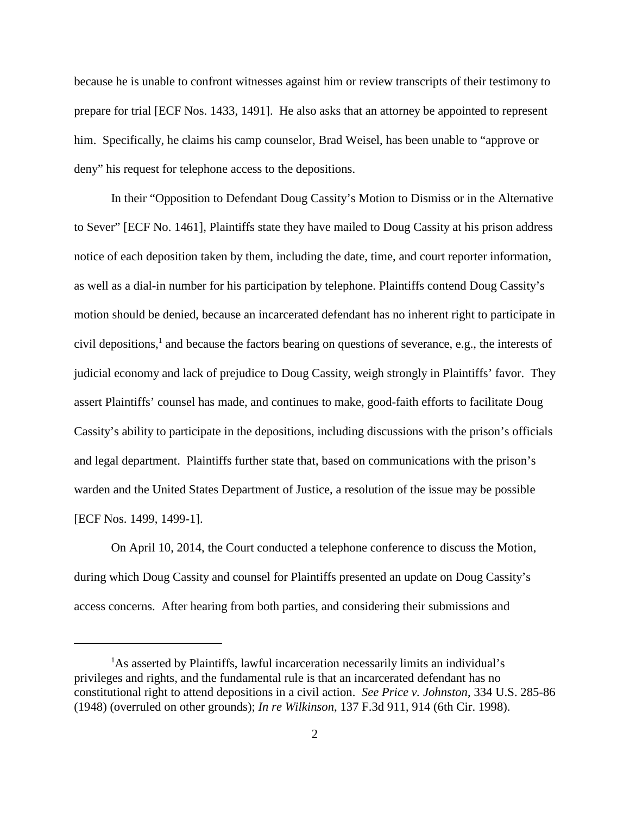because he is unable to confront witnesses against him or review transcripts of their testimony to prepare for trial [ECF Nos. 1433, 1491]. He also asks that an attorney be appointed to represent him. Specifically, he claims his camp counselor, Brad Weisel, has been unable to "approve or deny" his request for telephone access to the depositions.

In their "Opposition to Defendant Doug Cassity's Motion to Dismiss or in the Alternative to Sever" [ECF No. 1461], Plaintiffs state they have mailed to Doug Cassity at his prison address notice of each deposition taken by them, including the date, time, and court reporter information, as well as a dial-in number for his participation by telephone. Plaintiffs contend Doug Cassity's motion should be denied, because an incarcerated defendant has no inherent right to participate in civil depositions,<sup>1</sup> and because the factors bearing on questions of severance, e.g., the interests of judicial economy and lack of prejudice to Doug Cassity, weigh strongly in Plaintiffs' favor. They assert Plaintiffs' counsel has made, and continues to make, good-faith efforts to facilitate Doug Cassity's ability to participate in the depositions, including discussions with the prison's officials and legal department. Plaintiffs further state that, based on communications with the prison's warden and the United States Department of Justice, a resolution of the issue may be possible [ECF Nos. 1499, 1499-1].

On April 10, 2014, the Court conducted a telephone conference to discuss the Motion, during which Doug Cassity and counsel for Plaintiffs presented an update on Doug Cassity's access concerns. After hearing from both parties, and considering their submissions and

<sup>&</sup>lt;sup>1</sup>As asserted by Plaintiffs, lawful incarceration necessarily limits an individual's privileges and rights, and the fundamental rule is that an incarcerated defendant has no constitutional right to attend depositions in a civil action. *See Price v. Johnston*, 334 U.S. 285-86 (1948) (overruled on other grounds); *In re Wilkinson*, 137 F.3d 911, 914 (6th Cir. 1998).